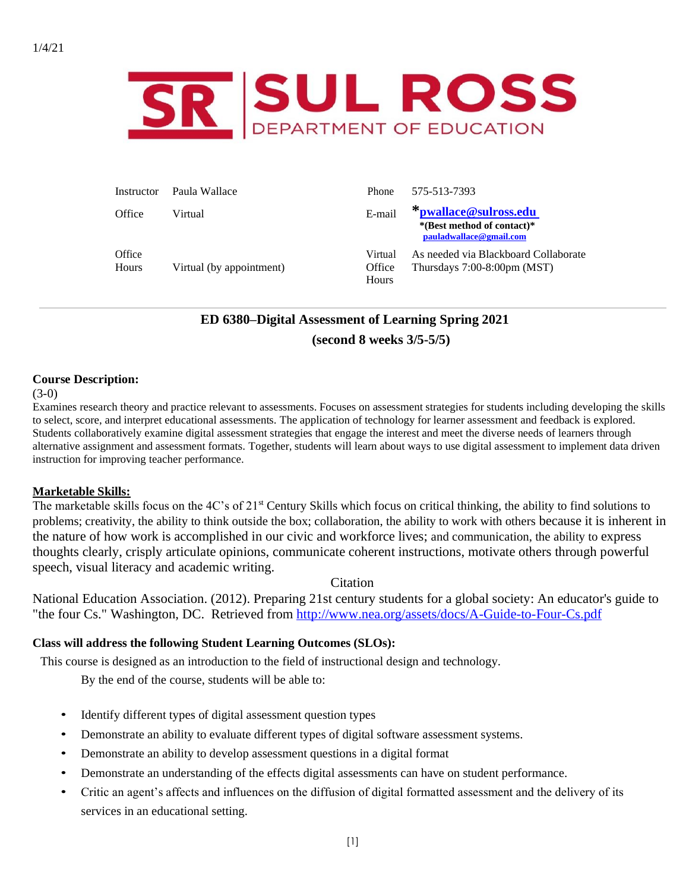

| Instructor      | Paula Wallace            | Phone                      | 575-513-7393                                                                   |
|-----------------|--------------------------|----------------------------|--------------------------------------------------------------------------------|
| Office          | Virtual                  | E-mail                     | *pwallace@sulross.edu<br>*(Best method of contact)*<br>pauladwallace@gmail.com |
| Office<br>Hours | Virtual (by appointment) | Virtual<br>Office<br>Hours | As needed via Blackboard Collaborate<br>Thursdays $7:00-8:00$ pm (MST)         |

# **ED 6380–Digital Assessment of Learning Spring 2021 (second 8 weeks 3/5-5/5)**

### **Course Description:**

#### $(3-0)$

Examines research theory and practice relevant to assessments. Focuses on assessment strategies for students including developing the skills to select, score, and interpret educational assessments. The application of technology for learner assessment and feedback is explored. Students collaboratively examine digital assessment strategies that engage the interest and meet the diverse needs of learners through alternative assignment and assessment formats. Together, students will learn about ways to use digital assessment to implement data driven instruction for improving teacher performance.

#### **Marketable Skills:**

The marketable skills focus on the 4C's of 21<sup>st</sup> Century Skills which focus on critical thinking, the ability to find solutions to problems; creativity, the ability to think outside the box; collaboration, the ability to work with others because it is inherent in the nature of how work is accomplished in our civic and workforce lives; and communication, the ability to express thoughts clearly, crisply articulate opinions, communicate coherent instructions, motivate others through powerful speech, visual literacy and academic writing.

# Citation

National Education Association. (2012). Preparing 21st century students for a global society: An educator's guide to "the four Cs." Washington, DC. Retrieved from<http://www.nea.org/assets/docs/A-Guide-to-Four-Cs.pdf>

# **Class will address the following Student Learning Outcomes (SLOs):**

This course is designed as an introduction to the field of instructional design and technology.

By the end of the course, students will be able to:

- Identify different types of digital assessment question types
- Demonstrate an ability to evaluate different types of digital software assessment systems.
- Demonstrate an ability to develop assessment questions in a digital format
- Demonstrate an understanding of the effects digital assessments can have on student performance.
- Critic an agent's affects and influences on the diffusion of digital formatted assessment and the delivery of its services in an educational setting.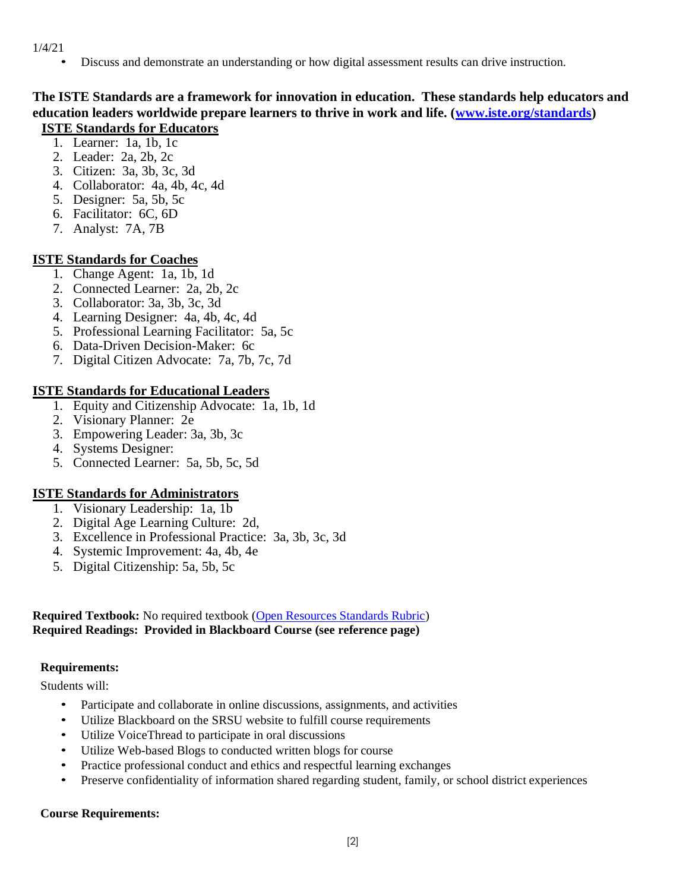• Discuss and demonstrate an understanding or how digital assessment results can drive instruction.

# **The ISTE Standards are a framework for innovation in education. These standards help educators and education leaders worldwide prepare learners to thrive in work and life. [\(www.iste.org/standards\)](http://www.iste.org/standards) ISTE Standards for Educators**

- 1. Learner: 1a, 1b, 1c
- 2. Leader: 2a, 2b, 2c
- 3. Citizen: 3a, 3b, 3c, 3d
- 4. Collaborator: 4a, 4b, 4c, 4d
- 5. Designer: 5a, 5b, 5c
- 6. Facilitator: 6C, 6D
- 7. Analyst: 7A, 7B

# **ISTE Standards for Coaches**

- 1. Change Agent: 1a, 1b, 1d
- 2. Connected Learner: 2a, 2b, 2c
- 3. Collaborator: 3a, 3b, 3c, 3d
- 4. Learning Designer: 4a, 4b, 4c, 4d
- 5. Professional Learning Facilitator: 5a, 5c
- 6. Data-Driven Decision-Maker: 6c
- 7. Digital Citizen Advocate: 7a, 7b, 7c, 7d

# **ISTE Standards for Educational Leaders**

- 1. Equity and Citizenship Advocate: 1a, 1b, 1d
- 2. Visionary Planner: 2e
- 3. Empowering Leader: 3a, 3b, 3c
- 4. Systems Designer:
- 5. Connected Learner: 5a, 5b, 5c, 5d

# **ISTE Standards for Administrators**

- 1. Visionary Leadership: 1a, 1b
- 2. Digital Age Learning Culture: 2d,
- 3. Excellence in Professional Practice: 3a, 3b, 3c, 3d
- 4. Systemic Improvement: 4a, 4b, 4e
- 5. Digital Citizenship: 5a, 5b, 5c

### **Required Textbook:** No required textbook [\(Open Resources Standards Rubric\)](https://www.achieve.org/files/AchieveOERRubrics.pdf) **Required Readings: Provided in Blackboard Course (see reference page)**

# **Requirements:**

Students will:

- Participate and collaborate in online discussions, assignments, and activities
- Utilize Blackboard on the SRSU website to fulfill course requirements
- Utilize VoiceThread to participate in oral discussions
- Utilize Web-based Blogs to conducted written blogs for course
- Practice professional conduct and ethics and respectful learning exchanges
- Preserve confidentiality of information shared regarding student, family, or school district experiences

# **Course Requirements:**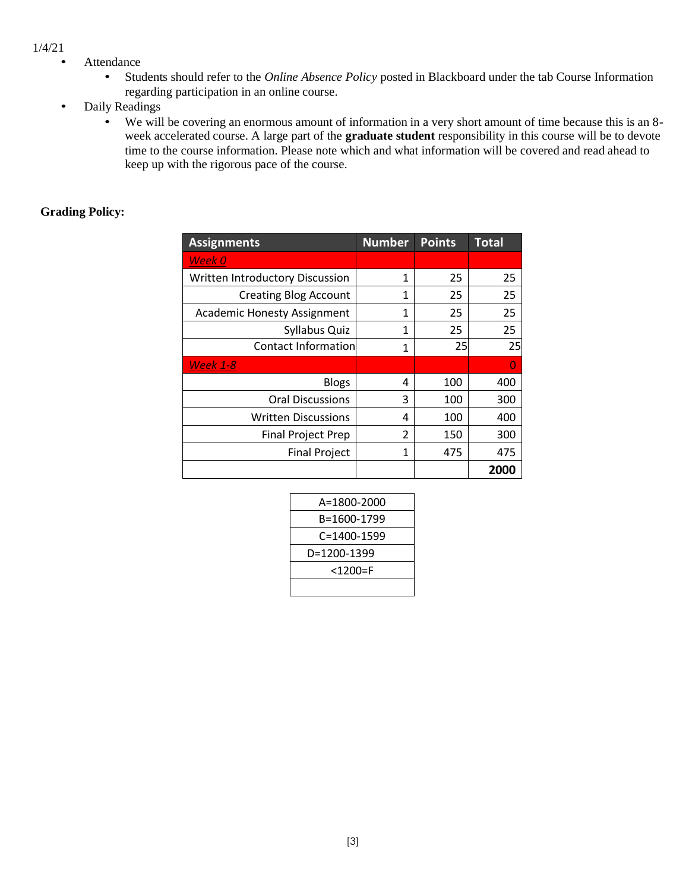- Attendance
	- Students should refer to the *Online Absence Policy* posted in Blackboard under the tab Course Information regarding participation in an online course.
- Daily Readings
	- We will be covering an enormous amount of information in a very short amount of time because this is an 8 week accelerated course. A large part of the **graduate student** responsibility in this course will be to devote time to the course information. Please note which and what information will be covered and read ahead to keep up with the rigorous pace of the course.

#### **Grading Policy:**

| <b>Assignments</b>                 | <b>Number</b> | <b>Points</b> | <b>Total</b> |
|------------------------------------|---------------|---------------|--------------|
| Week 0                             |               |               |              |
| Written Introductory Discussion    | 1             | 25            | 25           |
| <b>Creating Blog Account</b>       | 1             | 25            | 25           |
| <b>Academic Honesty Assignment</b> | 1             | 25            | 25           |
| Syllabus Quiz                      | 1             | 25            | 25           |
| Contact Information                | 1             | 25            | 25           |
| <b>Week 1-8</b>                    |               |               | O            |
| <b>Blogs</b>                       | 4             | 100           | 400          |
| <b>Oral Discussions</b>            | 3             | 100           | 300          |
| <b>Written Discussions</b>         | 4             | 100           | 400          |
| <b>Final Project Prep</b>          | 2             | 150           | 300          |
| <b>Final Project</b>               | 1             | 475           | 475          |
|                                    |               |               | 2000         |

| A=1800-2000       |
|-------------------|
| B=1600-1799       |
| $C = 1400 - 1599$ |
| D=1200-1399       |
| <1200=F           |
|                   |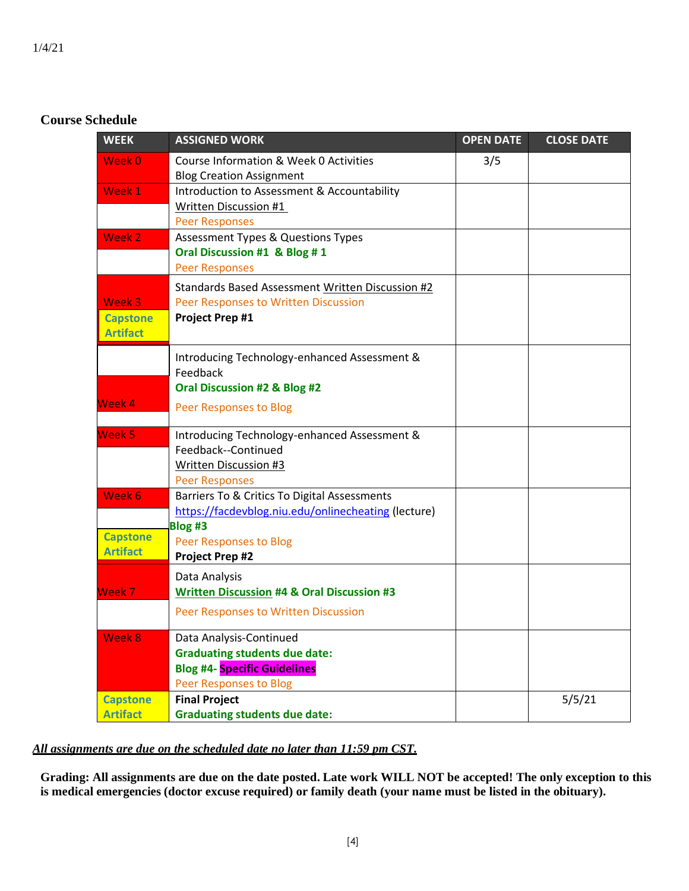# **Course Schedule**

| <b>WEEK</b>                        | <b>ASSIGNED WORK</b>                                                      | <b>OPEN DATE</b> | <b>CLOSE DATE</b> |
|------------------------------------|---------------------------------------------------------------------------|------------------|-------------------|
| Week 0                             | Course Information & Week 0 Activities<br><b>Blog Creation Assignment</b> | 3/5              |                   |
| Week 1                             | Introduction to Assessment & Accountability                               |                  |                   |
|                                    | Written Discussion #1<br><b>Peer Responses</b>                            |                  |                   |
| Week 2                             | <b>Assessment Types &amp; Questions Types</b>                             |                  |                   |
|                                    | Oral Discussion #1 & Blog #1                                              |                  |                   |
|                                    | <b>Peer Responses</b>                                                     |                  |                   |
|                                    | Standards Based Assessment Written Discussion #2                          |                  |                   |
| Week 3                             | Peer Responses to Written Discussion                                      |                  |                   |
| <b>Capstone</b><br><b>Artifact</b> | <b>Project Prep #1</b>                                                    |                  |                   |
|                                    | Introducing Technology-enhanced Assessment &<br>Feedback                  |                  |                   |
|                                    | Oral Discussion #2 & Blog #2                                              |                  |                   |
| Week 4                             | Peer Responses to Blog                                                    |                  |                   |
| Week 5                             | Introducing Technology-enhanced Assessment &                              |                  |                   |
|                                    | Feedback--Continued                                                       |                  |                   |
|                                    | <b>Written Discussion #3</b><br><b>Peer Responses</b>                     |                  |                   |
| Week 6                             | Barriers To & Critics To Digital Assessments                              |                  |                   |
|                                    | https://facdevblog.niu.edu/onlinecheating (lecture)                       |                  |                   |
| <b>Capstone</b>                    | Blog #3                                                                   |                  |                   |
| <b>Artifact</b>                    | Peer Responses to Blog<br><b>Project Prep #2</b>                          |                  |                   |
|                                    |                                                                           |                  |                   |
| Week 7                             | Data Analysis<br><b>Written Discussion #4 &amp; Oral Discussion #3</b>    |                  |                   |
|                                    | Peer Responses to Written Discussion                                      |                  |                   |
| Week 8                             | Data Analysis-Continued                                                   |                  |                   |
|                                    | <b>Graduating students due date:</b>                                      |                  |                   |
|                                    | <b>Blog #4- Specific Guidelines</b>                                       |                  |                   |
| <b>Capstone</b>                    | Peer Responses to Blog<br><b>Final Project</b>                            |                  | 5/5/21            |
| <b>Artifact</b>                    | <b>Graduating students due date:</b>                                      |                  |                   |

# *All assignments are due on the scheduled date no later than 11:59 pm CST.*

**Grading: All assignments are due on the date posted. Late work WILL NOT be accepted! The only exception to this is medical emergencies (doctor excuse required) or family death (your name must be listed in the obituary).**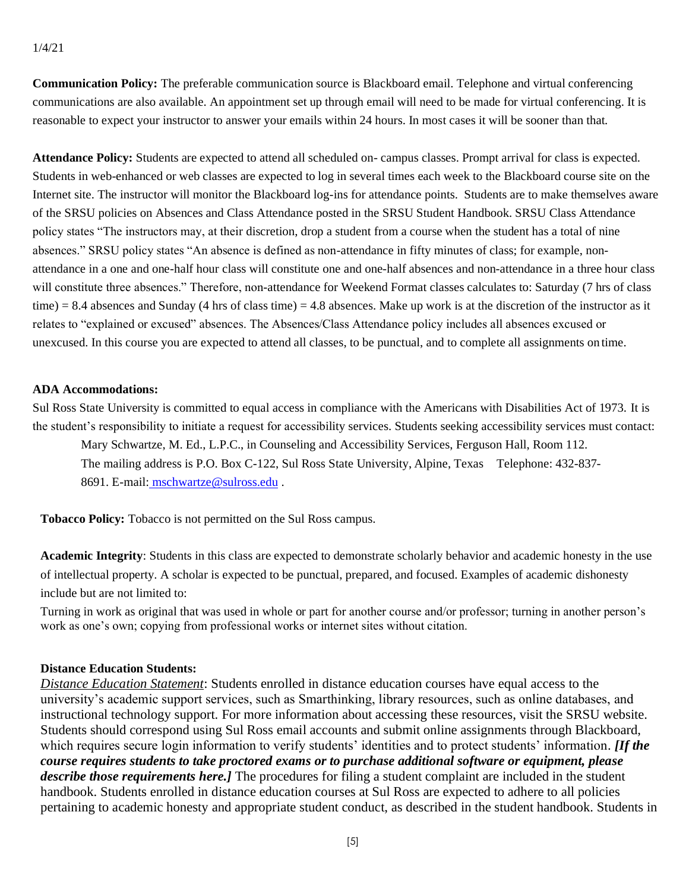**Communication Policy:** The preferable communication source is Blackboard email. Telephone and virtual conferencing communications are also available. An appointment set up through email will need to be made for virtual conferencing. It is reasonable to expect your instructor to answer your emails within 24 hours. In most cases it will be sooner than that.

**Attendance Policy:** Students are expected to attend all scheduled on- campus classes. Prompt arrival for class is expected. Students in web-enhanced or web classes are expected to log in several times each week to the Blackboard course site on the Internet site. The instructor will monitor the Blackboard log-ins for attendance points. Students are to make themselves aware of the SRSU policies on Absences and Class Attendance posted in the SRSU Student Handbook. SRSU Class Attendance policy states "The instructors may, at their discretion, drop a student from a course when the student has a total of nine absences." SRSU policy states "An absence is defined as non-attendance in fifty minutes of class; for example, nonattendance in a one and one-half hour class will constitute one and one-half absences and non-attendance in a three hour class will constitute three absences." Therefore, non-attendance for Weekend Format classes calculates to: Saturday (7 hrs of class time) = 8.4 absences and Sunday (4 hrs of class time) = 4.8 absences. Make up work is at the discretion of the instructor as it relates to "explained or excused" absences. The Absences/Class Attendance policy includes all absences excused or unexcused. In this course you are expected to attend all classes, to be punctual, and to complete all assignments on time.

### **ADA Accommodations:**

Sul Ross State University is committed to equal access in compliance with the Americans with Disabilities Act of 1973. It is the student's responsibility to initiate a request for accessibility services. Students seeking accessibility services must contact:

Mary Schwartze, M. Ed., L.P.C., in Counseling and Accessibility Services, Ferguson Hall, Room 112. The mailing address is P.O. Box C-122, Sul Ross State University, Alpine, Texas Telephone: 432-837- 8691. E-mail: [mschwartze@sulross.edu](mailto:%20%20mschwartze@sulross.edu) .

**Tobacco Policy:** Tobacco is not permitted on the Sul Ross campus.

**Academic Integrity**: Students in this class are expected to demonstrate scholarly behavior and academic honesty in the use of intellectual property. A scholar is expected to be punctual, prepared, and focused. Examples of academic dishonesty include but are not limited to:

Turning in work as original that was used in whole or part for another course and/or professor; turning in another person's work as one's own; copying from professional works or internet sites without citation.

#### **Distance Education Students:**

*Distance Education Statement*: Students enrolled in distance education courses have equal access to the university's academic support services, such as Smarthinking, library resources, such as online databases, and instructional technology support. For more information about accessing these resources, visit the SRSU website. Students should correspond using Sul Ross email accounts and submit online assignments through Blackboard, which requires secure login information to verify students' identities and to protect students' information. *[If the course requires students to take proctored exams or to purchase additional software or equipment, please describe those requirements here.]* The procedures for filing a student complaint are included in the student handbook. Students enrolled in distance education courses at Sul Ross are expected to adhere to all policies pertaining to academic honesty and appropriate student conduct, as described in the student handbook. Students in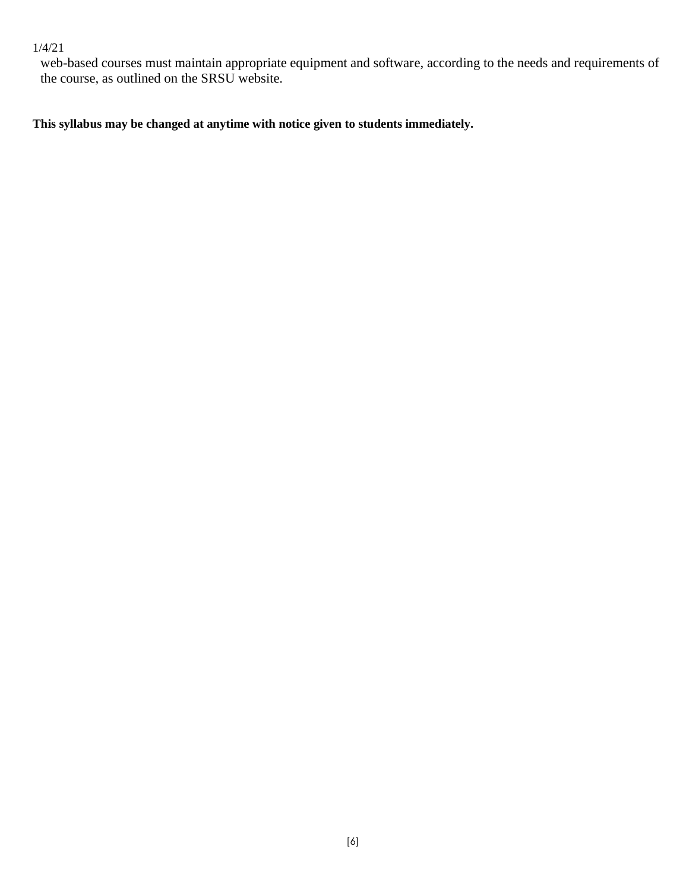web-based courses must maintain appropriate equipment and software, according to the needs and requirements of the course, as outlined on the SRSU website.

**This syllabus may be changed at anytime with notice given to students immediately.**